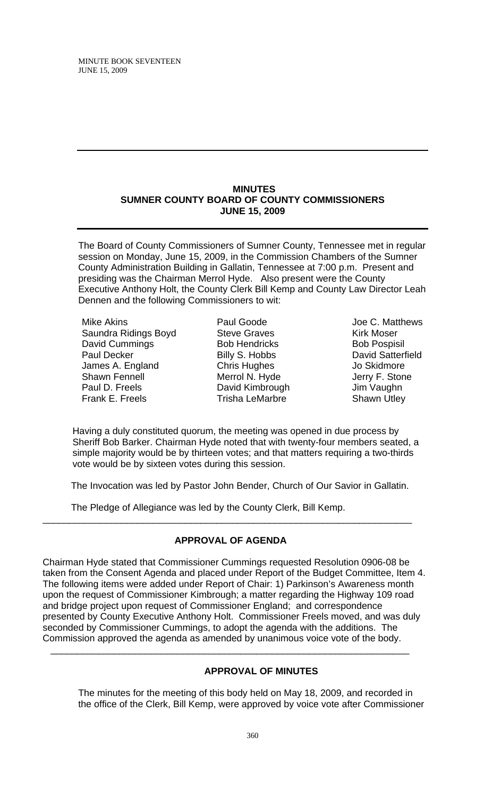#### **MINUTES SUMNER COUNTY BOARD OF COUNTY COMMISSIONERS JUNE 15, 2009**

The Board of County Commissioners of Sumner County, Tennessee met in regular session on Monday, June 15, 2009, in the Commission Chambers of the Sumner County Administration Building in Gallatin, Tennessee at 7:00 p.m. Present and presiding was the Chairman Merrol Hyde. Also present were the County Executive Anthony Holt, the County Clerk Bill Kemp and County Law Director Leah Dennen and the following Commissioners to wit:

Mike Akins Saundra Ridings Boyd David Cummings Paul Decker James A. England Shawn Fennell Paul D. Freels Frank E. Freels

Paul Goode Steve Graves Bob Hendricks Billy S. Hobbs Chris Hughes Merrol N. Hyde David Kimbrough Trisha LeMarbre

Joe C. Matthews Kirk Moser Bob Pospisil David Satterfield Jo Skidmore Jerry F. Stone Jim Vaughn Shawn Utley

 Having a duly constituted quorum, the meeting was opened in due process by Sheriff Bob Barker. Chairman Hyde noted that with twenty-four members seated, a simple majority would be by thirteen votes; and that matters requiring a two-thirds vote would be by sixteen votes during this session.

The Invocation was led by Pastor John Bender, Church of Our Savior in Gallatin.

The Pledge of Allegiance was led by the County Clerk, Bill Kemp.

### **APPROVAL OF AGENDA**

\_\_\_\_\_\_\_\_\_\_\_\_\_\_\_\_\_\_\_\_\_\_\_\_\_\_\_\_\_\_\_\_\_\_\_\_\_\_\_\_\_\_\_\_\_\_\_\_\_\_\_\_\_\_\_\_\_\_\_\_\_\_\_\_\_\_\_\_\_\_

Chairman Hyde stated that Commissioner Cummings requested Resolution 0906-08 be taken from the Consent Agenda and placed under Report of the Budget Committee, Item 4. The following items were added under Report of Chair: 1) Parkinson's Awareness month upon the request of Commissioner Kimbrough; a matter regarding the Highway 109 road and bridge project upon request of Commissioner England; and correspondence presented by County Executive Anthony Holt. Commissioner Freels moved, and was duly seconded by Commissioner Cummings, to adopt the agenda with the additions. The Commission approved the agenda as amended by unanimous voice vote of the body.

 $\overline{\phantom{a}}$  , and the contribution of the contribution of the contribution of the contribution of the contribution of the contribution of the contribution of the contribution of the contribution of the contribution of the

### **APPROVAL OF MINUTES**

The minutes for the meeting of this body held on May 18, 2009, and recorded in the office of the Clerk, Bill Kemp, were approved by voice vote after Commissioner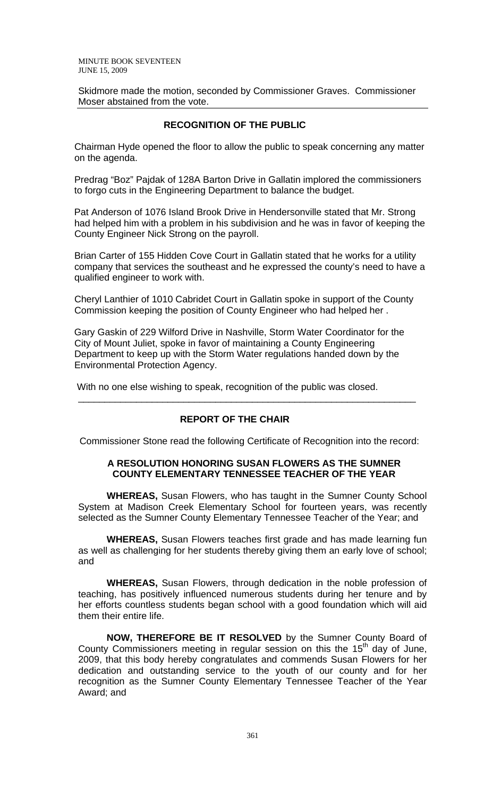Skidmore made the motion, seconded by Commissioner Graves. Commissioner Moser abstained from the vote.

## **RECOGNITION OF THE PUBLIC**

 Chairman Hyde opened the floor to allow the public to speak concerning any matter on the agenda.

 Predrag "Boz" Pajdak of 128A Barton Drive in Gallatin implored the commissioners to forgo cuts in the Engineering Department to balance the budget.

 Pat Anderson of 1076 Island Brook Drive in Hendersonville stated that Mr. Strong had helped him with a problem in his subdivision and he was in favor of keeping the County Engineer Nick Strong on the payroll.

 Brian Carter of 155 Hidden Cove Court in Gallatin stated that he works for a utility company that services the southeast and he expressed the county's need to have a qualified engineer to work with.

 Cheryl Lanthier of 1010 Cabridet Court in Gallatin spoke in support of the County Commission keeping the position of County Engineer who had helped her .

 Gary Gaskin of 229 Wilford Drive in Nashville, Storm Water Coordinator for the City of Mount Juliet, spoke in favor of maintaining a County Engineering Department to keep up with the Storm Water regulations handed down by the Environmental Protection Agency.

With no one else wishing to speak, recognition of the public was closed.

### **REPORT OF THE CHAIR**

Commissioner Stone read the following Certificate of Recognition into the record:

\_\_\_\_\_\_\_\_\_\_\_\_\_\_\_\_\_\_\_\_\_\_\_\_\_\_\_\_\_\_\_\_\_\_\_\_\_\_\_\_\_\_\_\_\_\_\_\_\_\_\_\_\_\_\_\_\_\_\_\_\_\_\_\_

#### **A RESOLUTION HONORING SUSAN FLOWERS AS THE SUMNER COUNTY ELEMENTARY TENNESSEE TEACHER OF THE YEAR**

 **WHEREAS,** Susan Flowers, who has taught in the Sumner County School System at Madison Creek Elementary School for fourteen years, was recently selected as the Sumner County Elementary Tennessee Teacher of the Year; and

**WHEREAS,** Susan Flowers teaches first grade and has made learning fun as well as challenging for her students thereby giving them an early love of school; and

**WHEREAS,** Susan Flowers, through dedication in the noble profession of teaching, has positively influenced numerous students during her tenure and by her efforts countless students began school with a good foundation which will aid them their entire life.

**NOW, THEREFORE BE IT RESOLVED** by the Sumner County Board of County Commissioners meeting in regular session on this the  $15<sup>th</sup>$  day of June, 2009, that this body hereby congratulates and commends Susan Flowers for her dedication and outstanding service to the youth of our county and for her recognition as the Sumner County Elementary Tennessee Teacher of the Year Award; and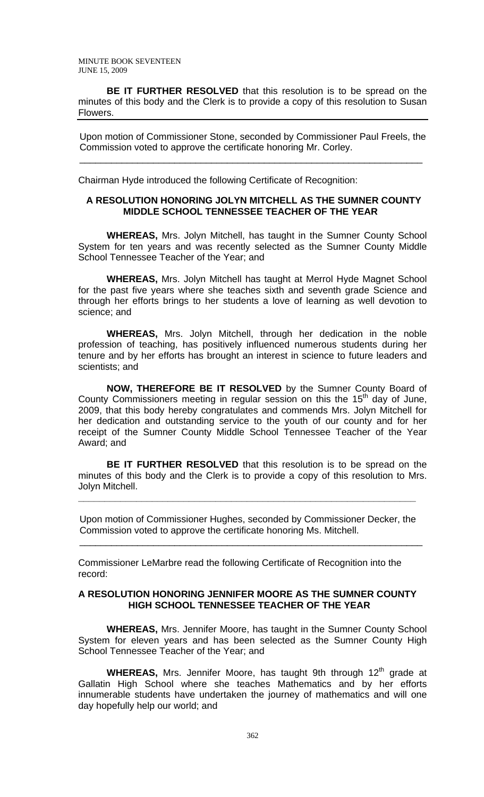**BE IT FURTHER RESOLVED** that this resolution is to be spread on the minutes of this body and the Clerk is to provide a copy of this resolution to Susan Flowers.

 Upon motion of Commissioner Stone, seconded by Commissioner Paul Freels, the Commission voted to approve the certificate honoring Mr. Corley.

Chairman Hyde introduced the following Certificate of Recognition:

 $\overline{\phantom{a}}$  ,  $\overline{\phantom{a}}$  ,  $\overline{\phantom{a}}$  ,  $\overline{\phantom{a}}$  ,  $\overline{\phantom{a}}$  ,  $\overline{\phantom{a}}$  ,  $\overline{\phantom{a}}$  ,  $\overline{\phantom{a}}$  ,  $\overline{\phantom{a}}$  ,  $\overline{\phantom{a}}$  ,  $\overline{\phantom{a}}$  ,  $\overline{\phantom{a}}$  ,  $\overline{\phantom{a}}$  ,  $\overline{\phantom{a}}$  ,  $\overline{\phantom{a}}$  ,  $\overline{\phantom{a}}$ 

### **A RESOLUTION HONORING JOLYN MITCHELL AS THE SUMNER COUNTY MIDDLE SCHOOL TENNESSEE TEACHER OF THE YEAR**

 **WHEREAS,** Mrs. Jolyn Mitchell, has taught in the Sumner County School System for ten years and was recently selected as the Sumner County Middle School Tennessee Teacher of the Year; and

**WHEREAS,** Mrs. Jolyn Mitchell has taught at Merrol Hyde Magnet School for the past five years where she teaches sixth and seventh grade Science and through her efforts brings to her students a love of learning as well devotion to science; and

**WHEREAS,** Mrs. Jolyn Mitchell, through her dedication in the noble profession of teaching, has positively influenced numerous students during her tenure and by her efforts has brought an interest in science to future leaders and scientists; and

**NOW, THEREFORE BE IT RESOLVED** by the Sumner County Board of County Commissioners meeting in regular session on this the  $15<sup>th</sup>$  day of June, 2009, that this body hereby congratulates and commends Mrs. Jolyn Mitchell for her dedication and outstanding service to the youth of our county and for her receipt of the Sumner County Middle School Tennessee Teacher of the Year Award; and

**BE IT FURTHER RESOLVED** that this resolution is to be spread on the minutes of this body and the Clerk is to provide a copy of this resolution to Mrs. Jolyn Mitchell.

 Upon motion of Commissioner Hughes, seconded by Commissioner Decker, the Commission voted to approve the certificate honoring Ms. Mitchell.

**\_\_\_\_\_\_\_\_\_\_\_\_\_\_\_\_\_\_\_\_\_\_\_\_\_\_\_\_\_\_\_\_\_\_\_\_\_\_\_\_\_\_\_\_\_\_\_\_\_\_\_\_\_\_\_\_\_\_\_\_\_\_\_\_** 

Commissioner LeMarbre read the following Certificate of Recognition into the record:

 $\overline{\phantom{a}}$  ,  $\overline{\phantom{a}}$  ,  $\overline{\phantom{a}}$  ,  $\overline{\phantom{a}}$  ,  $\overline{\phantom{a}}$  ,  $\overline{\phantom{a}}$  ,  $\overline{\phantom{a}}$  ,  $\overline{\phantom{a}}$  ,  $\overline{\phantom{a}}$  ,  $\overline{\phantom{a}}$  ,  $\overline{\phantom{a}}$  ,  $\overline{\phantom{a}}$  ,  $\overline{\phantom{a}}$  ,  $\overline{\phantom{a}}$  ,  $\overline{\phantom{a}}$  ,  $\overline{\phantom{a}}$ 

### **A RESOLUTION HONORING JENNIFER MOORE AS THE SUMNER COUNTY HIGH SCHOOL TENNESSEE TEACHER OF THE YEAR**

 **WHEREAS,** Mrs. Jennifer Moore, has taught in the Sumner County School System for eleven years and has been selected as the Sumner County High School Tennessee Teacher of the Year; and

**WHEREAS,** Mrs. Jennifer Moore, has taught 9th through 12<sup>th</sup> grade at Gallatin High School where she teaches Mathematics and by her efforts innumerable students have undertaken the journey of mathematics and will one day hopefully help our world; and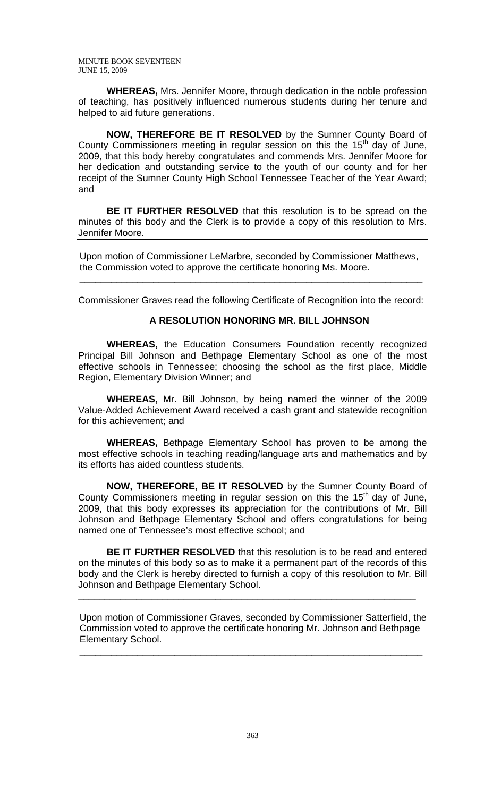**WHEREAS,** Mrs. Jennifer Moore, through dedication in the noble profession of teaching, has positively influenced numerous students during her tenure and helped to aid future generations.

**NOW, THEREFORE BE IT RESOLVED** by the Sumner County Board of County Commissioners meeting in regular session on this the 15<sup>th</sup> day of June, 2009, that this body hereby congratulates and commends Mrs. Jennifer Moore for her dedication and outstanding service to the youth of our county and for her receipt of the Sumner County High School Tennessee Teacher of the Year Award; and

**BE IT FURTHER RESOLVED** that this resolution is to be spread on the minutes of this body and the Clerk is to provide a copy of this resolution to Mrs. Jennifer Moore.

 Upon motion of Commissioner LeMarbre, seconded by Commissioner Matthews, the Commission voted to approve the certificate honoring Ms. Moore.

 $\frac{1}{\sqrt{2}}$  ,  $\frac{1}{\sqrt{2}}$  ,  $\frac{1}{\sqrt{2}}$  ,  $\frac{1}{\sqrt{2}}$  ,  $\frac{1}{\sqrt{2}}$  ,  $\frac{1}{\sqrt{2}}$  ,  $\frac{1}{\sqrt{2}}$  ,  $\frac{1}{\sqrt{2}}$  ,  $\frac{1}{\sqrt{2}}$  ,  $\frac{1}{\sqrt{2}}$  ,  $\frac{1}{\sqrt{2}}$  ,  $\frac{1}{\sqrt{2}}$  ,  $\frac{1}{\sqrt{2}}$  ,  $\frac{1}{\sqrt{2}}$  ,  $\frac{1}{\sqrt{2}}$ 

Commissioner Graves read the following Certificate of Recognition into the record:

#### **A RESOLUTION HONORING MR. BILL JOHNSON**

 **WHEREAS,** the Education Consumers Foundation recently recognized Principal Bill Johnson and Bethpage Elementary School as one of the most effective schools in Tennessee; choosing the school as the first place, Middle Region, Elementary Division Winner; and

 **WHEREAS,** Mr. Bill Johnson, by being named the winner of the 2009 Value-Added Achievement Award received a cash grant and statewide recognition for this achievement; and

**WHEREAS,** Bethpage Elementary School has proven to be among the most effective schools in teaching reading/language arts and mathematics and by its efforts has aided countless students.

**NOW, THEREFORE, BE IT RESOLVED** by the Sumner County Board of County Commissioners meeting in regular session on this the  $15<sup>th</sup>$  day of June, 2009, that this body expresses its appreciation for the contributions of Mr. Bill Johnson and Bethpage Elementary School and offers congratulations for being named one of Tennessee's most effective school; and

**BE IT FURTHER RESOLVED** that this resolution is to be read and entered on the minutes of this body so as to make it a permanent part of the records of this body and the Clerk is hereby directed to furnish a copy of this resolution to Mr. Bill Johnson and Bethpage Elementary School.

**\_\_\_\_\_\_\_\_\_\_\_\_\_\_\_\_\_\_\_\_\_\_\_\_\_\_\_\_\_\_\_\_\_\_\_\_\_\_\_\_\_\_\_\_\_\_\_\_\_\_\_\_\_\_\_\_\_\_\_\_\_\_\_\_** 

 Upon motion of Commissioner Graves, seconded by Commissioner Satterfield, the Commission voted to approve the certificate honoring Mr. Johnson and Bethpage Elementary School.

 $\overline{\phantom{a}}$  ,  $\overline{\phantom{a}}$  ,  $\overline{\phantom{a}}$  ,  $\overline{\phantom{a}}$  ,  $\overline{\phantom{a}}$  ,  $\overline{\phantom{a}}$  ,  $\overline{\phantom{a}}$  ,  $\overline{\phantom{a}}$  ,  $\overline{\phantom{a}}$  ,  $\overline{\phantom{a}}$  ,  $\overline{\phantom{a}}$  ,  $\overline{\phantom{a}}$  ,  $\overline{\phantom{a}}$  ,  $\overline{\phantom{a}}$  ,  $\overline{\phantom{a}}$  ,  $\overline{\phantom{a}}$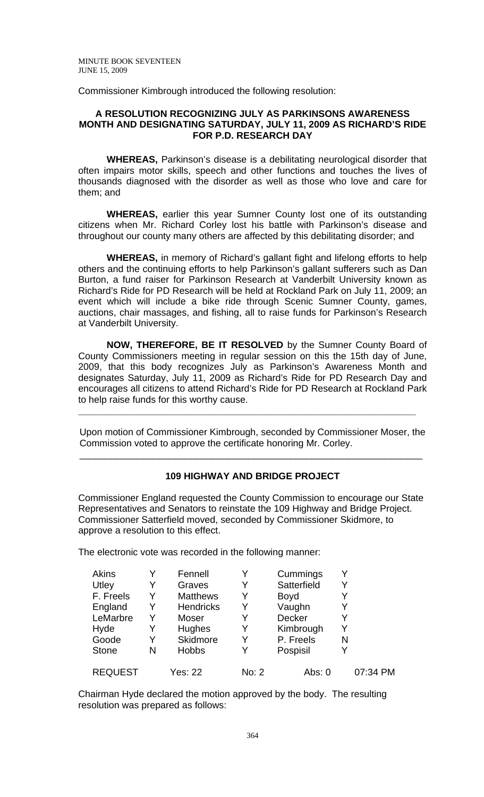Commissioner Kimbrough introduced the following resolution:

### **A RESOLUTION RECOGNIZING JULY AS PARKINSONS AWARENESS MONTH AND DESIGNATING SATURDAY, JULY 11, 2009 AS RICHARD'S RIDE FOR P.D. RESEARCH DAY**

 **WHEREAS,** Parkinson's disease is a debilitating neurological disorder that often impairs motor skills, speech and other functions and touches the lives of thousands diagnosed with the disorder as well as those who love and care for them; and

**WHEREAS,** earlier this year Sumner County lost one of its outstanding citizens when Mr. Richard Corley lost his battle with Parkinson's disease and throughout our county many others are affected by this debilitating disorder; and

**WHEREAS,** in memory of Richard's gallant fight and lifelong efforts to help others and the continuing efforts to help Parkinson's gallant sufferers such as Dan Burton, a fund raiser for Parkinson Research at Vanderbilt University known as Richard's Ride for PD Research will be held at Rockland Park on July 11, 2009; an event which will include a bike ride through Scenic Sumner County, games, auctions, chair massages, and fishing, all to raise funds for Parkinson's Research at Vanderbilt University.

**NOW, THEREFORE, BE IT RESOLVED** by the Sumner County Board of County Commissioners meeting in regular session on this the 15th day of June, 2009, that this body recognizes July as Parkinson's Awareness Month and designates Saturday, July 11, 2009 as Richard's Ride for PD Research Day and encourages all citizens to attend Richard's Ride for PD Research at Rockland Park to help raise funds for this worthy cause.

 Upon motion of Commissioner Kimbrough, seconded by Commissioner Moser, the Commission voted to approve the certificate honoring Mr. Corley.

 $\overline{\phantom{a}}$  ,  $\overline{\phantom{a}}$  ,  $\overline{\phantom{a}}$  ,  $\overline{\phantom{a}}$  ,  $\overline{\phantom{a}}$  ,  $\overline{\phantom{a}}$  ,  $\overline{\phantom{a}}$  ,  $\overline{\phantom{a}}$  ,  $\overline{\phantom{a}}$  ,  $\overline{\phantom{a}}$  ,  $\overline{\phantom{a}}$  ,  $\overline{\phantom{a}}$  ,  $\overline{\phantom{a}}$  ,  $\overline{\phantom{a}}$  ,  $\overline{\phantom{a}}$  ,  $\overline{\phantom{a}}$ 

**\_\_\_\_\_\_\_\_\_\_\_\_\_\_\_\_\_\_\_\_\_\_\_\_\_\_\_\_\_\_\_\_\_\_\_\_\_\_\_\_\_\_\_\_\_\_\_\_\_\_\_\_\_\_\_\_\_\_\_\_\_\_\_\_** 

# **109 HIGHWAY AND BRIDGE PROJECT**

Commissioner England requested the County Commission to encourage our State Representatives and Senators to reinstate the 109 Highway and Bridge Project. Commissioner Satterfield moved, seconded by Commissioner Skidmore, to approve a resolution to this effect.

The electronic vote was recorded in the following manner:

| <b>Akins</b>   |   | Fennell          | Y     | Cummings    | Y |          |
|----------------|---|------------------|-------|-------------|---|----------|
| Utley          |   | Graves           |       | Satterfield |   |          |
| F. Freels      | Y | <b>Matthews</b>  | Y     | <b>Boyd</b> | Y |          |
| England        | Y | <b>Hendricks</b> | Y     | Vaughn      | Y |          |
| LeMarbre       | Y | Moser            | Y     | Decker      | Y |          |
| Hyde           |   | Hughes           | Y     | Kimbrough   | Y |          |
| Goode          | Y | Skidmore         | Y     | P. Freels   | N |          |
| <b>Stone</b>   | N | <b>Hobbs</b>     | Y     | Pospisil    | Y |          |
| <b>REQUEST</b> |   | <b>Yes: 22</b>   | No: 2 | Abs: 0      |   | 07:34 PM |

Chairman Hyde declared the motion approved by the body. The resulting resolution was prepared as follows: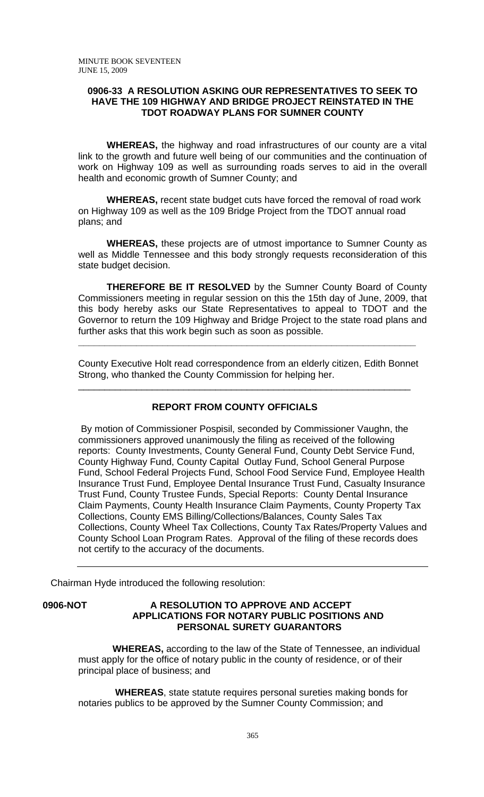### **0906-33 A RESOLUTION ASKING OUR REPRESENTATIVES TO SEEK TO HAVE THE 109 HIGHWAY AND BRIDGE PROJECT REINSTATED IN THE TDOT ROADWAY PLANS FOR SUMNER COUNTY**

**WHEREAS,** the highway and road infrastructures of our county are a vital link to the growth and future well being of our communities and the continuation of work on Highway 109 as well as surrounding roads serves to aid in the overall health and economic growth of Sumner County; and

**WHEREAS,** recent state budget cuts have forced the removal of road work on Highway 109 as well as the 109 Bridge Project from the TDOT annual road plans; and

**WHEREAS,** these projects are of utmost importance to Sumner County as well as Middle Tennessee and this body strongly requests reconsideration of this state budget decision.

**THEREFORE BE IT RESOLVED** by the Sumner County Board of County Commissioners meeting in regular session on this the 15th day of June, 2009, that this body hereby asks our State Representatives to appeal to TDOT and the Governor to return the 109 Highway and Bridge Project to the state road plans and further asks that this work begin such as soon as possible.

County Executive Holt read correspondence from an elderly citizen, Edith Bonnet Strong, who thanked the County Commission for helping her.

\_\_\_\_\_\_\_\_\_\_\_\_\_\_\_\_\_\_\_\_\_\_\_\_\_\_\_\_\_\_\_\_\_\_\_\_\_\_\_\_\_\_\_\_\_\_\_\_\_\_\_\_\_\_\_\_\_\_\_\_\_\_\_

**\_\_\_\_\_\_\_\_\_\_\_\_\_\_\_\_\_\_\_\_\_\_\_\_\_\_\_\_\_\_\_\_\_\_\_\_\_\_\_\_\_\_\_\_\_\_\_\_\_\_\_\_\_\_\_\_\_\_\_\_\_\_\_\_** 

### **REPORT FROM COUNTY OFFICIALS**

 By motion of Commissioner Pospisil, seconded by Commissioner Vaughn, the commissioners approved unanimously the filing as received of the following reports: County Investments, County General Fund, County Debt Service Fund, County Highway Fund, County Capital Outlay Fund, School General Purpose Fund, School Federal Projects Fund, School Food Service Fund, Employee Health Insurance Trust Fund, Employee Dental Insurance Trust Fund, Casualty Insurance Trust Fund, County Trustee Funds, Special Reports: County Dental Insurance Claim Payments, County Health Insurance Claim Payments, County Property Tax Collections, County EMS Billing/Collections/Balances, County Sales Tax Collections, County Wheel Tax Collections, County Tax Rates/Property Values and County School Loan Program Rates. Approval of the filing of these records does not certify to the accuracy of the documents.

Chairman Hyde introduced the following resolution:

### **0906-NOT A RESOLUTION TO APPROVE AND ACCEPT APPLICATIONS FOR NOTARY PUBLIC POSITIONS AND PERSONAL SURETY GUARANTORS**

 **WHEREAS,** according to the law of the State of Tennessee, an individual must apply for the office of notary public in the county of residence, or of their principal place of business; and

 **WHEREAS**, state statute requires personal sureties making bonds for notaries publics to be approved by the Sumner County Commission; and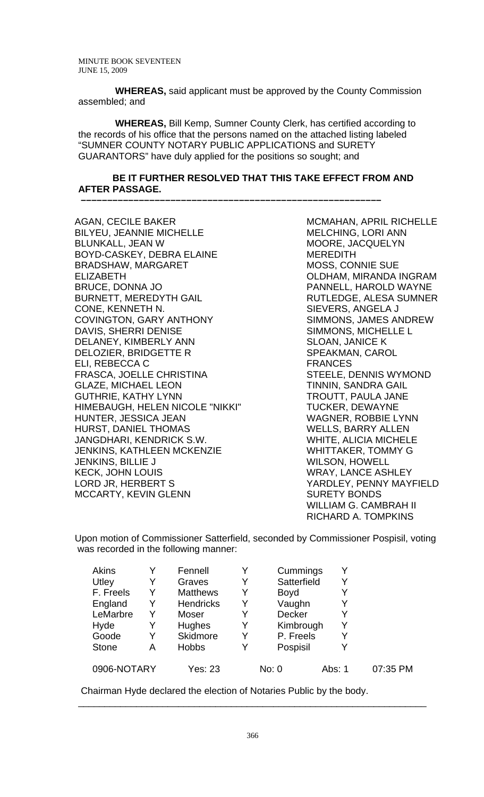**WHEREAS,** said applicant must be approved by the County Commission assembled; and

 **WHEREAS,** Bill Kemp, Sumner County Clerk, has certified according to the records of his office that the persons named on the attached listing labeled "SUMNER COUNTY NOTARY PUBLIC APPLICATIONS and SURETY GUARANTORS" have duly applied for the positions so sought; and

### **BE IT FURTHER RESOLVED THAT THIS TAKE EFFECT FROM AND AFTER PASSAGE.**

 **–––––––––––––––––––––––––––––––––––––––––––––––––––––––––**

AGAN, CECILE BAKER BILYEU, JEANNIE MICHELLE BLUNKALL, JEAN W BOYD-CASKEY, DEBRA ELAINE BRADSHAW, MARGARET ELIZABETH BRUCE, DONNA JO BURNETT, MEREDYTH GAIL CONE, KENNETH N. COVINGTON, GARY ANTHONY DAVIS, SHERRI DENISE DELANEY, KIMBERLY ANN DELOZIER, BRIDGETTE R ELI, REBECCA C FRASCA, JOELLE CHRISTINA GLAZE, MICHAEL LEON GUTHRIE, KATHY LYNN HIMEBAUGH, HELEN NICOLE "NIKKI" HUNTER, JESSICA JEAN HURST, DANIEL THOMAS JANGDHARI, KENDRICK S.W. JENKINS, KATHLEEN MCKENZIE JENKINS, BILLIE J KECK, JOHN LOUIS LORD JR, HERBERT S MCCARTY, KEVIN GLENN

MCMAHAN, APRIL RICHELLE MELCHING, LORI ANN MOORE, JACQUELYN MEREDITH MOSS, CONNIE SUE OLDHAM, MIRANDA INGRAM PANNELL, HAROLD WAYNE RUTLEDGE, ALESA SUMNER SIEVERS, ANGELA J SIMMONS, JAMES ANDREW SIMMONS, MICHELLE L SLOAN, JANICE K SPEAKMAN, CAROL FRANCES STEELE, DENNIS WYMOND TINNIN, SANDRA GAIL TROUTT, PAULA JANE TUCKER, DEWAYNE WAGNER, ROBBIE LYNN WELLS, BARRY ALLEN WHITE, ALICIA MICHELE WHITTAKER, TOMMY G WILSON, HOWELL WRAY, LANCE ASHLEY YARDLEY, PENNY MAYFIELD SURETY BONDS WILLIAM G. CAMBRAH II RICHARD A. TOMPKINS

Upon motion of Commissioner Satterfield, seconded by Commissioner Pospisil, voting was recorded in the following manner:

| Akins        |   | Fennell          |   | Cummings    | Y      |          |
|--------------|---|------------------|---|-------------|--------|----------|
| Utley        | Y | Graves           | Y | Satterfield | Y      |          |
| F. Freels    | Y | <b>Matthews</b>  | Y | <b>Boyd</b> | Y      |          |
| England      | Y | <b>Hendricks</b> | Y | Vaughn      | Y      |          |
| LeMarbre     | Y | Moser            | Y | Decker      | Y      |          |
| Hyde         | Y | Hughes           | Y | Kimbrough   | Y      |          |
| Goode        | Y | Skidmore         | Y | P. Freels   | Y      |          |
| <b>Stone</b> | Α | <b>Hobbs</b>     | Y | Pospisil    | Y      |          |
| 0906-NOTARY  |   | Yes: 23          |   | No: 0       | Abs: 1 | 07:35 PM |

Chairman Hyde declared the election of Notaries Public by the body.

\_\_\_\_\_\_\_\_\_\_\_\_\_\_\_\_\_\_\_\_\_\_\_\_\_\_\_\_\_\_\_\_\_\_\_\_\_\_\_\_\_\_\_\_\_\_\_\_\_\_\_\_\_\_\_\_\_\_\_\_\_\_\_\_\_\_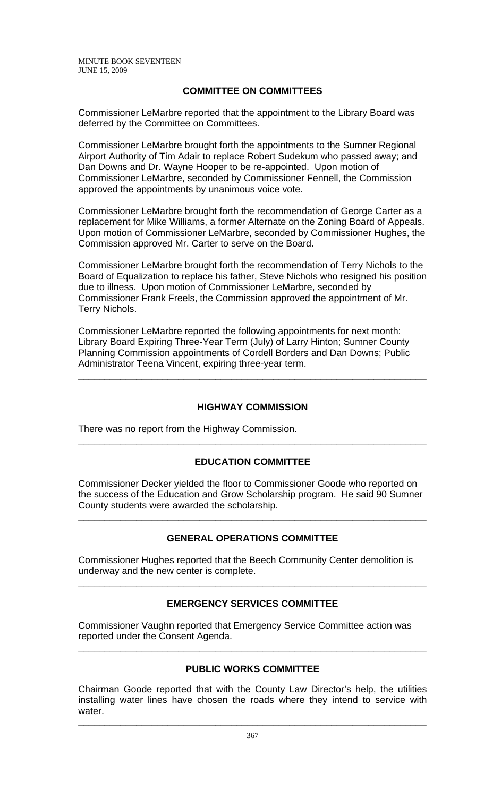# **COMMITTEE ON COMMITTEES**

Commissioner LeMarbre reported that the appointment to the Library Board was deferred by the Committee on Committees.

Commissioner LeMarbre brought forth the appointments to the Sumner Regional Airport Authority of Tim Adair to replace Robert Sudekum who passed away; and Dan Downs and Dr. Wayne Hooper to be re-appointed. Upon motion of Commissioner LeMarbre, seconded by Commissioner Fennell, the Commission approved the appointments by unanimous voice vote.

Commissioner LeMarbre brought forth the recommendation of George Carter as a replacement for Mike Williams, a former Alternate on the Zoning Board of Appeals. Upon motion of Commissioner LeMarbre, seconded by Commissioner Hughes, the Commission approved Mr. Carter to serve on the Board.

Commissioner LeMarbre brought forth the recommendation of Terry Nichols to the Board of Equalization to replace his father, Steve Nichols who resigned his position due to illness. Upon motion of Commissioner LeMarbre, seconded by Commissioner Frank Freels, the Commission approved the appointment of Mr. Terry Nichols.

Commissioner LeMarbre reported the following appointments for next month: Library Board Expiring Three-Year Term (July) of Larry Hinton; Sumner County Planning Commission appointments of Cordell Borders and Dan Downs; Public Administrator Teena Vincent, expiring three-year term.

# **HIGHWAY COMMISSION**

\_\_\_\_\_\_\_\_\_\_\_\_\_\_\_\_\_\_\_\_\_\_\_\_\_\_\_\_\_\_\_\_\_\_\_\_\_\_\_\_\_\_\_\_\_\_\_\_\_\_\_\_\_\_\_\_\_\_\_\_\_\_\_\_\_\_

There was no report from the Highway Commission.

# **EDUCATION COMMITTEE**

**\_\_\_\_\_\_\_\_\_\_\_\_\_\_\_\_\_\_\_\_\_\_\_\_\_\_\_\_\_\_\_\_\_\_\_\_\_\_\_\_\_\_\_\_\_\_\_\_\_\_\_\_\_\_\_\_\_\_\_\_\_\_\_\_\_\_** 

Commissioner Decker yielded the floor to Commissioner Goode who reported on the success of the Education and Grow Scholarship program. He said 90 Sumner County students were awarded the scholarship.

# **GENERAL OPERATIONS COMMITTEE**

**\_\_\_\_\_\_\_\_\_\_\_\_\_\_\_\_\_\_\_\_\_\_\_\_\_\_\_\_\_\_\_\_\_\_\_\_\_\_\_\_\_\_\_\_\_\_\_\_\_\_\_\_\_\_\_\_\_\_\_\_\_\_\_\_\_\_** 

Commissioner Hughes reported that the Beech Community Center demolition is underway and the new center is complete.

# **EMERGENCY SERVICES COMMITTEE**

**\_\_\_\_\_\_\_\_\_\_\_\_\_\_\_\_\_\_\_\_\_\_\_\_\_\_\_\_\_\_\_\_\_\_\_\_\_\_\_\_\_\_\_\_\_\_\_\_\_\_\_\_\_\_\_\_\_\_\_\_\_\_\_\_\_\_** 

Commissioner Vaughn reported that Emergency Service Committee action was reported under the Consent Agenda.

# **PUBLIC WORKS COMMITTEE**

**\_\_\_\_\_\_\_\_\_\_\_\_\_\_\_\_\_\_\_\_\_\_\_\_\_\_\_\_\_\_\_\_\_\_\_\_\_\_\_\_\_\_\_\_\_\_\_\_\_\_\_\_\_\_\_\_\_\_\_\_\_\_\_\_\_\_** 

Chairman Goode reported that with the County Law Director's help, the utilities installing water lines have chosen the roads where they intend to service with water.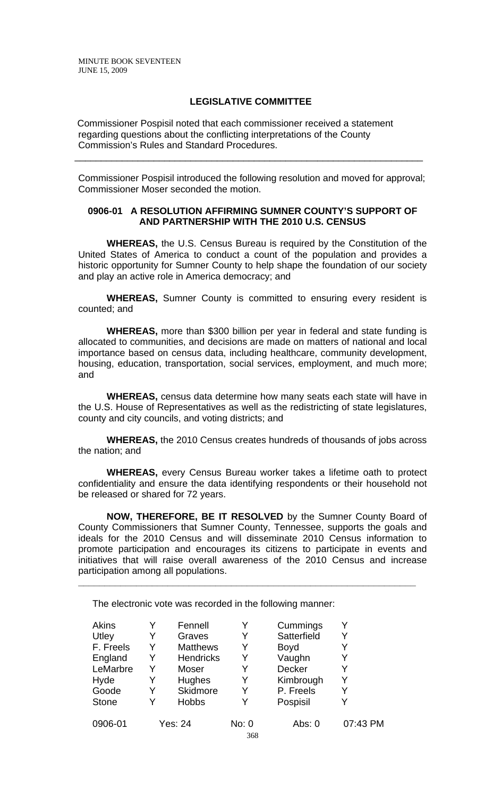### **LEGISLATIVE COMMITTEE**

 Commissioner Pospisil noted that each commissioner received a statement regarding questions about the conflicting interpretations of the County Commission's Rules and Standard Procedures.

Commissioner Pospisil introduced the following resolution and moved for approval; Commissioner Moser seconded the motion.

\_\_\_\_\_\_\_\_\_\_\_\_\_\_\_\_\_\_\_\_\_\_\_\_\_\_\_\_\_\_\_\_\_\_\_\_\_\_\_\_\_\_\_\_\_\_\_\_\_\_\_\_\_\_\_\_\_\_\_\_\_\_\_\_\_\_

## **0906-01 A RESOLUTION AFFIRMING SUMNER COUNTY'S SUPPORT OF AND PARTNERSHIP WITH THE 2010 U.S. CENSUS**

**WHEREAS,** the U.S. Census Bureau is required by the Constitution of the United States of America to conduct a count of the population and provides a historic opportunity for Sumner County to help shape the foundation of our society and play an active role in America democracy; and

**WHEREAS,** Sumner County is committed to ensuring every resident is counted; and

**WHEREAS,** more than \$300 billion per year in federal and state funding is allocated to communities, and decisions are made on matters of national and local importance based on census data, including healthcare, community development, housing, education, transportation, social services, employment, and much more; and

**WHEREAS,** census data determine how many seats each state will have in the U.S. House of Representatives as well as the redistricting of state legislatures, county and city councils, and voting districts; and

**WHEREAS,** the 2010 Census creates hundreds of thousands of jobs across the nation; and

**WHEREAS,** every Census Bureau worker takes a lifetime oath to protect confidentiality and ensure the data identifying respondents or their household not be released or shared for 72 years.

**NOW, THEREFORE, BE IT RESOLVED** by the Sumner County Board of County Commissioners that Sumner County, Tennessee, supports the goals and ideals for the 2010 Census and will disseminate 2010 Census information to promote participation and encourages its citizens to participate in events and initiatives that will raise overall awareness of the 2010 Census and increase participation among all populations.

**\_\_\_\_\_\_\_\_\_\_\_\_\_\_\_\_\_\_\_\_\_\_\_\_\_\_\_\_\_\_\_\_\_\_\_\_\_\_\_\_\_\_\_\_\_\_\_\_\_\_\_\_\_\_\_\_\_\_\_\_\_\_\_\_** 

The electronic vote was recorded in the following manner:

| <b>Akins</b> |   | Fennell          |       | Cummings    | Y        |
|--------------|---|------------------|-------|-------------|----------|
| Utley        | Y | Graves           | Y     | Satterfield | Y        |
| F. Freels    | Y | <b>Matthews</b>  | Y     | <b>Boyd</b> | Y        |
| England      | Y | <b>Hendricks</b> | Y     | Vaughn      | Y        |
| LeMarbre     | Y | Moser            | Y     | Decker      | Y        |
| Hyde         | Y | Hughes           | Y     | Kimbrough   | Y        |
| Goode        |   | <b>Skidmore</b>  | Y     | P. Freels   | Y        |
| <b>Stone</b> |   | <b>Hobbs</b>     |       | Pospisil    | Y        |
| 0906-01      |   | <b>Yes: 24</b>   | No: 0 | Abs: 0      | 07:43 PM |
|              |   |                  | 368   |             |          |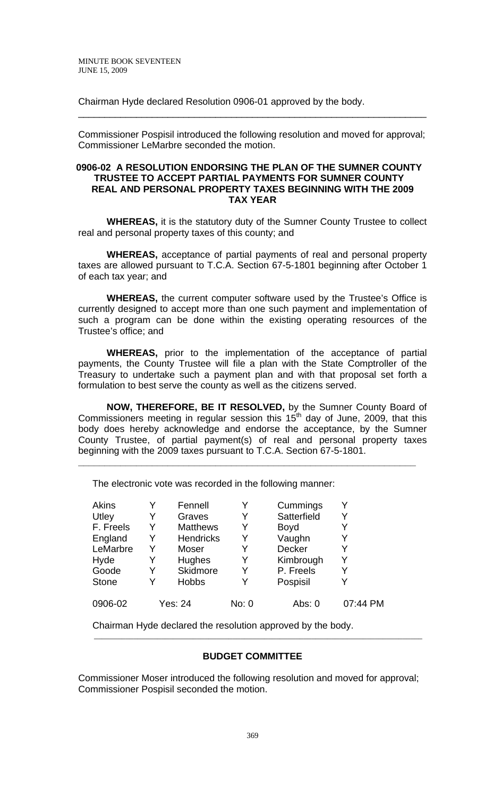Chairman Hyde declared Resolution 0906-01 approved by the body.

Commissioner Pospisil introduced the following resolution and moved for approval; Commissioner LeMarbre seconded the motion.

\_\_\_\_\_\_\_\_\_\_\_\_\_\_\_\_\_\_\_\_\_\_\_\_\_\_\_\_\_\_\_\_\_\_\_\_\_\_\_\_\_\_\_\_\_\_\_\_\_\_\_\_\_\_\_\_\_\_\_\_\_\_\_\_\_\_

### **0906-02 A RESOLUTION ENDORSING THE PLAN OF THE SUMNER COUNTY TRUSTEE TO ACCEPT PARTIAL PAYMENTS FOR SUMNER COUNTY REAL AND PERSONAL PROPERTY TAXES BEGINNING WITH THE 2009 TAX YEAR**

**WHEREAS,** it is the statutory duty of the Sumner County Trustee to collect real and personal property taxes of this county; and

**WHEREAS,** acceptance of partial payments of real and personal property taxes are allowed pursuant to T.C.A. Section 67-5-1801 beginning after October 1 of each tax year; and

**WHEREAS,** the current computer software used by the Trustee's Office is currently designed to accept more than one such payment and implementation of such a program can be done within the existing operating resources of the Trustee's office; and

**WHEREAS,** prior to the implementation of the acceptance of partial payments, the County Trustee will file a plan with the State Comptroller of the Treasury to undertake such a payment plan and with that proposal set forth a formulation to best serve the county as well as the citizens served.

**NOW, THEREFORE, BE IT RESOLVED,** by the Sumner County Board of Commissioners meeting in regular session this  $15<sup>th</sup>$  day of June, 2009, that this body does hereby acknowledge and endorse the acceptance, by the Sumner County Trustee, of partial payment(s) of real and personal property taxes beginning with the 2009 taxes pursuant to T.C.A. Section 67-5-1801.

**\_\_\_\_\_\_\_\_\_\_\_\_\_\_\_\_\_\_\_\_\_\_\_\_\_\_\_\_\_\_\_\_\_\_\_\_\_\_\_\_\_\_\_\_\_\_\_\_\_\_\_\_\_\_\_\_\_\_\_\_\_\_\_\_** 

| <b>Akins</b> |   | Fennell          | Y     | Cummings    | Y        |
|--------------|---|------------------|-------|-------------|----------|
| Utley        | Y | Graves           | Y     | Satterfield | Y        |
| F. Freels    | Y | <b>Matthews</b>  | Y     | <b>Boyd</b> | Y        |
| England      | Y | <b>Hendricks</b> | Y     | Vaughn      | Y        |
| LeMarbre     | Y | Moser            | Y     | Decker      | Y        |
| Hyde         | Y | Hughes           | Y     | Kimbrough   | Y        |
| Goode        | Y | Skidmore         | Y     | P. Freels   | Y        |
| <b>Stone</b> |   | <b>Hobbs</b>     |       | Pospisil    | Y        |
| 0906-02      |   | <b>Yes: 24</b>   | No: 0 | Abs: $0$    | 07:44 PM |

The electronic vote was recorded in the following manner:

Chairman Hyde declared the resolution approved by the body.

## **BUDGET COMMITTEE**

\_\_\_\_\_\_\_\_\_\_\_\_\_\_\_\_\_\_\_\_\_\_\_\_\_\_\_\_\_\_\_\_\_\_\_\_\_\_\_\_\_\_\_\_\_\_\_\_\_\_\_\_\_\_\_\_\_\_\_\_\_\_\_\_\_\_\_\_\_\_\_\_\_\_\_\_\_\_\_\_\_\_\_

Commissioner Moser introduced the following resolution and moved for approval; Commissioner Pospisil seconded the motion.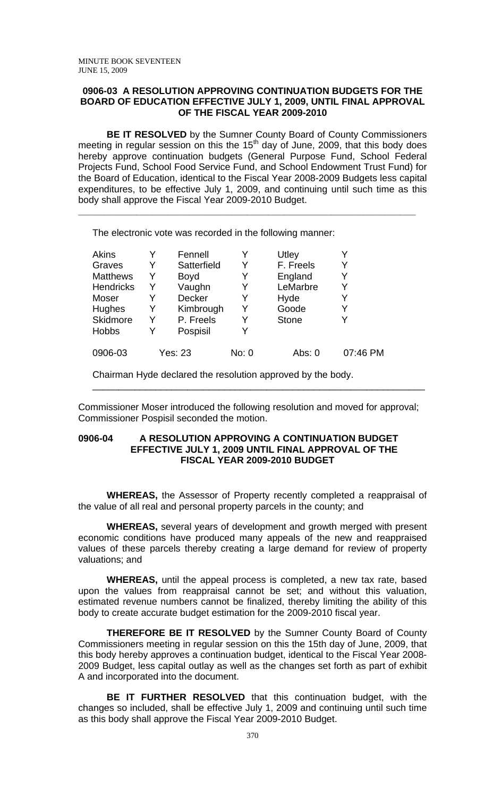#### **0906-03 A RESOLUTION APPROVING CONTINUATION BUDGETS FOR THE BOARD OF EDUCATION EFFECTIVE JULY 1, 2009, UNTIL FINAL APPROVAL OF THE FISCAL YEAR 2009-2010**

**BE IT RESOLVED** by the Sumner County Board of County Commissioners meeting in regular session on this the  $15<sup>th</sup>$  day of June, 2009, that this body does hereby approve continuation budgets (General Purpose Fund, School Federal Projects Fund, School Food Service Fund, and School Endowment Trust Fund) for the Board of Education, identical to the Fiscal Year 2008-2009 Budgets less capital expenditures, to be effective July 1, 2009, and continuing until such time as this body shall approve the Fiscal Year 2009-2010 Budget.

**\_\_\_\_\_\_\_\_\_\_\_\_\_\_\_\_\_\_\_\_\_\_\_\_\_\_\_\_\_\_\_\_\_\_\_\_\_\_\_\_\_\_\_\_\_\_\_\_\_\_\_\_\_\_\_\_\_\_\_\_\_\_\_\_** 

The electronic vote was recorded in the following manner:

| Akins            |   | Fennell        |       | Utley        |          |
|------------------|---|----------------|-------|--------------|----------|
| Graves           | Y | Satterfield    | Y     | F. Freels    | Y        |
| <b>Matthews</b>  | Y | <b>Boyd</b>    | Y     | England      | Y        |
| <b>Hendricks</b> | Y | Vaughn         | Y     | LeMarbre     | Y        |
| Moser            |   | Decker         | Y     | Hyde         | Y        |
| <b>Hughes</b>    | Y | Kimbrough      | Y     | Goode        | Y        |
| <b>Skidmore</b>  | Y | P. Freels      | Y     | <b>Stone</b> |          |
| <b>Hobbs</b>     | Y | Pospisil       | Y     |              |          |
| 0906-03          |   | <b>Yes: 23</b> | No: 0 | Abs: 0       | 07:46 PM |

Chairman Hyde declared the resolution approved by the body.

Commissioner Moser introduced the following resolution and moved for approval; Commissioner Pospisil seconded the motion.

\_\_\_\_\_\_\_\_\_\_\_\_\_\_\_\_\_\_\_\_\_\_\_\_\_\_\_\_\_\_\_\_\_\_\_\_\_\_\_\_\_\_\_\_\_\_\_\_\_\_\_\_\_\_\_\_\_\_\_\_\_\_\_

### **0906-04 A RESOLUTION APPROVING A CONTINUATION BUDGET EFFECTIVE JULY 1, 2009 UNTIL FINAL APPROVAL OF THE FISCAL YEAR 2009-2010 BUDGET**

**WHEREAS,** the Assessor of Property recently completed a reappraisal of the value of all real and personal property parcels in the county; and

**WHEREAS,** several years of development and growth merged with present economic conditions have produced many appeals of the new and reappraised values of these parcels thereby creating a large demand for review of property valuations; and

**WHEREAS,** until the appeal process is completed, a new tax rate, based upon the values from reappraisal cannot be set; and without this valuation, estimated revenue numbers cannot be finalized, thereby limiting the ability of this body to create accurate budget estimation for the 2009-2010 fiscal year.

**THEREFORE BE IT RESOLVED** by the Sumner County Board of County Commissioners meeting in regular session on this the 15th day of June, 2009, that this body hereby approves a continuation budget, identical to the Fiscal Year 2008- 2009 Budget, less capital outlay as well as the changes set forth as part of exhibit A and incorporated into the document.

**BE IT FURTHER RESOLVED** that this continuation budget, with the changes so included, shall be effective July 1, 2009 and continuing until such time as this body shall approve the Fiscal Year 2009-2010 Budget.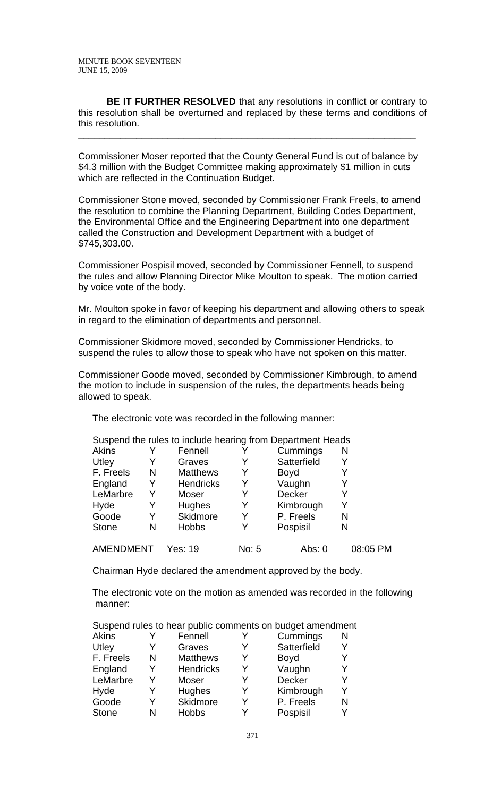**BE IT FURTHER RESOLVED** that any resolutions in conflict or contrary to this resolution shall be overturned and replaced by these terms and conditions of this resolution.

Commissioner Moser reported that the County General Fund is out of balance by \$4.3 million with the Budget Committee making approximately \$1 million in cuts which are reflected in the Continuation Budget.

**\_\_\_\_\_\_\_\_\_\_\_\_\_\_\_\_\_\_\_\_\_\_\_\_\_\_\_\_\_\_\_\_\_\_\_\_\_\_\_\_\_\_\_\_\_\_\_\_\_\_\_\_\_\_\_\_\_\_\_\_\_\_\_\_** 

Commissioner Stone moved, seconded by Commissioner Frank Freels, to amend the resolution to combine the Planning Department, Building Codes Department, the Environmental Office and the Engineering Department into one department called the Construction and Development Department with a budget of \$745,303.00.

Commissioner Pospisil moved, seconded by Commissioner Fennell, to suspend the rules and allow Planning Director Mike Moulton to speak. The motion carried by voice vote of the body.

Mr. Moulton spoke in favor of keeping his department and allowing others to speak in regard to the elimination of departments and personnel.

Commissioner Skidmore moved, seconded by Commissioner Hendricks, to suspend the rules to allow those to speak who have not spoken on this matter.

Commissioner Goode moved, seconded by Commissioner Kimbrough, to amend the motion to include in suspension of the rules, the departments heads being allowed to speak.

The electronic vote was recorded in the following manner:

|              |   | Suspend the rules to include hearing from Department Heads |       |             |          |
|--------------|---|------------------------------------------------------------|-------|-------------|----------|
| Akins        |   | Fennell                                                    |       | Cummings    | N        |
| Utley        |   | Graves                                                     |       | Satterfield |          |
| F. Freels    | N | <b>Matthews</b>                                            | Y     | <b>Boyd</b> |          |
| England      | Y | <b>Hendricks</b>                                           | Y     | Vaughn      |          |
| LeMarbre     | Y | Moser                                                      | Y     | Decker      | Y        |
| Hyde         | Y | Hughes                                                     | Y     | Kimbrough   |          |
| Goode        | Y | Skidmore                                                   | Y     | P. Freels   | N        |
| <b>Stone</b> | N | <b>Hobbs</b>                                               | Y     | Pospisil    | N        |
| AMENDMENT    |   | Yes: 19                                                    | No: 5 | Abs: $0$    | 08:05 PM |

Chairman Hyde declared the amendment approved by the body.

The electronic vote on the motion as amended was recorded in the following manner:

|  |  |  |  | Suspend rules to hear public comments on budget amendment |
|--|--|--|--|-----------------------------------------------------------|
|  |  |  |  |                                                           |

|   |                  |         |               | N        |
|---|------------------|---------|---------------|----------|
|   | Graves           |         | Satterfield   | Y        |
| N | <b>Matthews</b>  | Y       | <b>Boyd</b>   | Y        |
| Y | <b>Hendricks</b> | Y       | Vaughn        | Y        |
| Y | Moser            |         | <b>Decker</b> | Y        |
|   | <b>Hughes</b>    | Y       | Kimbrough     | Y        |
| V | Skidmore         | Y       | P. Freels     | N        |
| N | <b>Hobbs</b>     |         | Pospisil      |          |
|   |                  | Fennell |               | Cummings |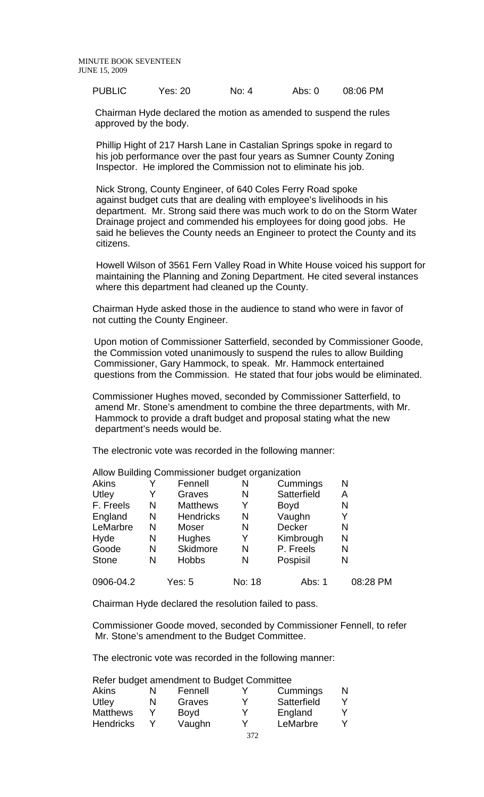| <b>PUBLIC</b><br>08:06 PM<br>Yes: 20<br>No: $4$<br>Abs: $0$ |  |
|-------------------------------------------------------------|--|
|-------------------------------------------------------------|--|

 Chairman Hyde declared the motion as amended to suspend the rules approved by the body.

 Phillip Hight of 217 Harsh Lane in Castalian Springs spoke in regard to his job performance over the past four years as Sumner County Zoning Inspector. He implored the Commission not to eliminate his job.

 Nick Strong, County Engineer, of 640 Coles Ferry Road spoke against budget cuts that are dealing with employee's livelihoods in his department. Mr. Strong said there was much work to do on the Storm Water Drainage project and commended his employees for doing good jobs. He said he believes the County needs an Engineer to protect the County and its citizens.

 Howell Wilson of 3561 Fern Valley Road in White House voiced his support for maintaining the Planning and Zoning Department. He cited several instances where this department had cleaned up the County.

Chairman Hyde asked those in the audience to stand who were in favor of not cutting the County Engineer.

 Upon motion of Commissioner Satterfield, seconded by Commissioner Goode, the Commission voted unanimously to suspend the rules to allow Building Commissioner, Gary Hammock, to speak. Mr. Hammock entertained questions from the Commission. He stated that four jobs would be eliminated.

Commissioner Hughes moved, seconded by Commissioner Satterfield, to amend Mr. Stone's amendment to combine the three departments, with Mr. Hammock to provide a draft budget and proposal stating what the new department's needs would be.

The electronic vote was recorded in the following manner:

|              |   |                  | ັ      |             |          |
|--------------|---|------------------|--------|-------------|----------|
| Akins        |   | Fennell          | N      | Cummings    | N        |
| Utley        |   | Graves           | N      | Satterfield | Α        |
| F. Freels    | N | <b>Matthews</b>  | Y      | <b>Boyd</b> | N        |
| England      | N | <b>Hendricks</b> | N      | Vaughn      | Y        |
| LeMarbre     | N | Moser            | N      | Decker      | N        |
| Hyde         | N | <b>Hughes</b>    | Y      | Kimbrough   | N        |
| Goode        | N | Skidmore         | N      | P. Freels   | N        |
| <b>Stone</b> | N | <b>Hobbs</b>     | N      | Pospisil    | N        |
| 0906-04.2    |   | Yes: 5           | No: 18 | Abs: 1      | 08:28 PM |

Allow Building Commissioner budget organization

Chairman Hyde declared the resolution failed to pass.

Commissioner Goode moved, seconded by Commissioner Fennell, to refer Mr. Stone's amendment to the Budget Committee.

The electronic vote was recorded in the following manner:

Refer budget amendment to Budget Committee

| <b>Akins</b>     | N | Fennell     | v | Cummings    | N |
|------------------|---|-------------|---|-------------|---|
| Utley            | N | Graves      | v | Satterfield |   |
| <b>Matthews</b>  |   | <b>Boyd</b> | v | England     |   |
| <b>Hendricks</b> |   | Vaughn      | v | LeMarbre    |   |
|                  |   |             |   |             |   |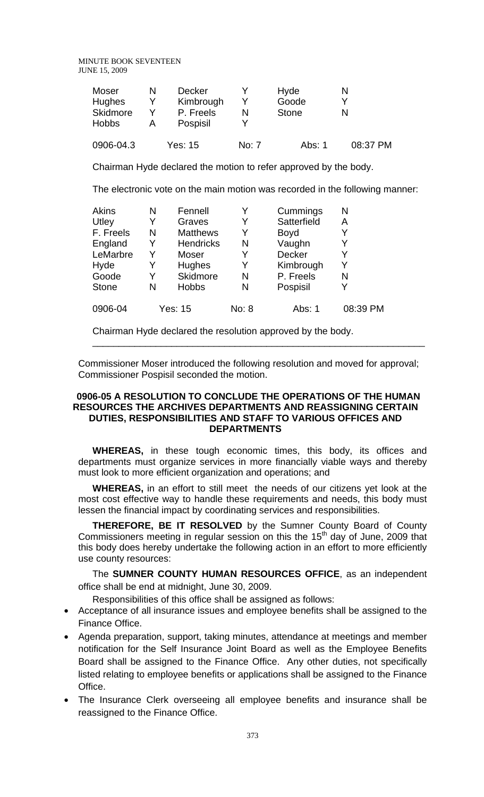| Moser<br><b>Hughes</b><br>Skidmore | Decker<br>Kimbrough<br>P. Freels |       | Hyde<br>Goode<br><b>Stone</b> | N        |
|------------------------------------|----------------------------------|-------|-------------------------------|----------|
| <b>Hobbs</b><br>0906-04.3          | Pospisil<br>Yes: 15              | No: 7 | Abs: 1                        | 08:37 PM |

Chairman Hyde declared the motion to refer approved by the body.

The electronic vote on the main motion was recorded in the following manner:

| <b>Akins</b> | N | Fennell          | Y     | Cummings    | N        |
|--------------|---|------------------|-------|-------------|----------|
| Utley        | Y | Graves           | Y     | Satterfield | A        |
| F. Freels    | N | <b>Matthews</b>  | Y     | <b>Boyd</b> | Y        |
| England      | Y | <b>Hendricks</b> | N     | Vaughn      | Y        |
| LeMarbre     | Y | Moser            | Y     | Decker      | Y        |
| Hyde         | Y | <b>Hughes</b>    | Y     | Kimbrough   | Y        |
| Goode        | Y | Skidmore         | N     | P. Freels   | N        |
| <b>Stone</b> | N | <b>Hobbs</b>     | N     | Pospisil    | Y        |
| 0906-04      |   | <b>Yes: 15</b>   | No: 8 | Abs: 1      | 08:39 PM |

Chairman Hyde declared the resolution approved by the body.

Commissioner Moser introduced the following resolution and moved for approval; Commissioner Pospisil seconded the motion.

\_\_\_\_\_\_\_\_\_\_\_\_\_\_\_\_\_\_\_\_\_\_\_\_\_\_\_\_\_\_\_\_\_\_\_\_\_\_\_\_\_\_\_\_\_\_\_\_\_\_\_\_\_\_\_\_\_\_\_\_\_\_\_

### **0906-05 A RESOLUTION TO CONCLUDE THE OPERATIONS OF THE HUMAN RESOURCES THE ARCHIVES DEPARTMENTS AND REASSIGNING CERTAIN DUTIES, RESPONSIBILITIES AND STAFF TO VARIOUS OFFICES AND DEPARTMENTS**

**WHEREAS,** in these tough economic times, this body, its offices and departments must organize services in more financially viable ways and thereby must look to more efficient organization and operations; and

**WHEREAS,** in an effort to still meet the needs of our citizens yet look at the most cost effective way to handle these requirements and needs, this body must lessen the financial impact by coordinating services and responsibilities.

**THEREFORE, BE IT RESOLVED** by the Sumner County Board of County Commissioners meeting in regular session on this the  $15<sup>th</sup>$  day of June, 2009 that this body does hereby undertake the following action in an effort to more efficiently use county resources:

The **SUMNER COUNTY HUMAN RESOURCES OFFICE**, as an independent office shall be end at midnight, June 30, 2009.

Responsibilities of this office shall be assigned as follows:

- Acceptance of all insurance issues and employee benefits shall be assigned to the Finance Office.
- Agenda preparation, support, taking minutes, attendance at meetings and member notification for the Self Insurance Joint Board as well as the Employee Benefits Board shall be assigned to the Finance Office. Any other duties, not specifically listed relating to employee benefits or applications shall be assigned to the Finance Office.
- The Insurance Clerk overseeing all employee benefits and insurance shall be reassigned to the Finance Office.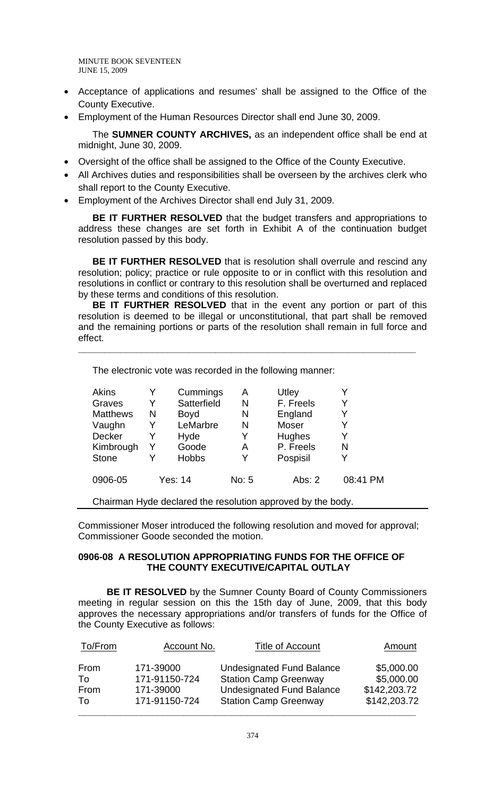- Acceptance of applications and resumes' shall be assigned to the Office of the County Executive.
- Employment of the Human Resources Director shall end June 30, 2009.

The **SUMNER COUNTY ARCHIVES,** as an independent office shall be end at midnight, June 30, 2009.

- Oversight of the office shall be assigned to the Office of the County Executive.
- All Archives duties and responsibilities shall be overseen by the archives clerk who shall report to the County Executive.
- Employment of the Archives Director shall end July 31, 2009.

**BE IT FURTHER RESOLVED** that the budget transfers and appropriations to address these changes are set forth in Exhibit A of the continuation budget resolution passed by this body.

**BE IT FURTHER RESOLVED** that is resolution shall overrule and rescind any resolution; policy; practice or rule opposite to or in conflict with this resolution and resolutions in conflict or contrary to this resolution shall be overturned and replaced by these terms and conditions of this resolution.

**BE IT FURTHER RESOLVED** that in the event any portion or part of this resolution is deemed to be illegal or unconstitutional, that part shall be removed and the remaining portions or parts of the resolution shall remain in full force and effect.

**\_\_\_\_\_\_\_\_\_\_\_\_\_\_\_\_\_\_\_\_\_\_\_\_\_\_\_\_\_\_\_\_\_\_\_\_\_\_\_\_\_\_\_\_\_\_\_\_\_\_\_\_\_\_\_\_\_\_\_\_\_\_\_\_** 

| <b>Akins</b>    | Y       | Cummings     | A     | Utley        |          |
|-----------------|---------|--------------|-------|--------------|----------|
| Graves          | Y       | Satterfield  | N     | F. Freels    |          |
| <b>Matthews</b> | N       | <b>Boyd</b>  | N     | England      | Y        |
| Vaughn          | Y       | LeMarbre     | N     | <b>Moser</b> |          |
| <b>Decker</b>   | Y       | Hyde         | Y     | Hughes       | Y        |
| Kimbrough       |         | Goode        | Α     | P. Freels    | N        |
| <b>Stone</b>    |         | <b>Hobbs</b> | Y     | Pospisil     |          |
| 0906-05         | Yes: 14 |              | No: 5 | Abs: 2       | 08:41 PM |

The electronic vote was recorded in the following manner:

Chairman Hyde declared the resolution approved by the body.

Commissioner Moser introduced the following resolution and moved for approval; Commissioner Goode seconded the motion.

### **0906-08 A RESOLUTION APPROPRIATING FUNDS FOR THE OFFICE OF THE COUNTY EXECUTIVE/CAPITAL OUTLAY**

**BE IT RESOLVED** by the Sumner County Board of County Commissioners meeting in regular session on this the 15th day of June, 2009, that this body approves the necessary appropriations and/or transfers of funds for the Office of the County Executive as follows:

| To/From | Account No.   | <b>Title of Account</b>          | Amount       |
|---------|---------------|----------------------------------|--------------|
| From    | 171-39000     | <b>Undesignated Fund Balance</b> | \$5,000.00   |
| To      | 171-91150-724 | <b>Station Camp Greenway</b>     | \$5,000.00   |
| From    | 171-39000     | <b>Undesignated Fund Balance</b> | \$142,203.72 |
| To      | 171-91150-724 | <b>Station Camp Greenway</b>     | \$142,203.72 |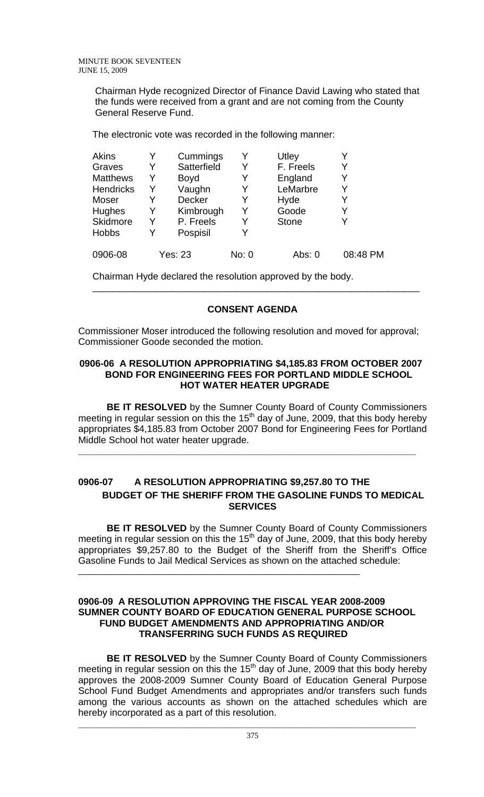Chairman Hyde recognized Director of Finance David Lawing who stated that the funds were received from a grant and are not coming from the County General Reserve Fund.

The electronic vote was recorded in the following manner:

| <b>Akins</b>     |   | Cummings       | Y     | Utley        |          |
|------------------|---|----------------|-------|--------------|----------|
| Graves           | Y | Satterfield    | Y     | F. Freels    | Y        |
| <b>Matthews</b>  | Y | <b>Boyd</b>    | Y     | England      | Y        |
| <b>Hendricks</b> | Y | Vaughn         | Y     | LeMarbre     | Y        |
| Moser            |   | <b>Decker</b>  | Y     | Hyde         | Y        |
| <b>Hughes</b>    | Y | Kimbrough      | Y     | Goode        | Y        |
| <b>Skidmore</b>  | Y | P. Freels      | Y     | <b>Stone</b> | Y        |
| <b>Hobbs</b>     |   | Pospisil       |       |              |          |
| 0906-08          |   | <b>Yes: 23</b> | No: 0 | Abs: 0       | 08:48 PM |

Chairman Hyde declared the resolution approved by the body.

# **CONSENT AGENDA**

\_\_\_\_\_\_\_\_\_\_\_\_\_\_\_\_\_\_\_\_\_\_\_\_\_\_\_\_\_\_\_\_\_\_\_\_\_\_\_\_\_\_\_\_\_\_\_\_\_\_\_\_\_\_\_\_\_\_\_\_\_\_

Commissioner Moser introduced the following resolution and moved for approval; Commissioner Goode seconded the motion.

# **0906-06 A RESOLUTION APPROPRIATING \$4,185.83 FROM OCTOBER 2007 BOND FOR ENGINEERING FEES FOR PORTLAND MIDDLE SCHOOL HOT WATER HEATER UPGRADE**

**BE IT RESOLVED** by the Sumner County Board of County Commissioners meeting in regular session on this the 15<sup>th</sup> day of June, 2009, that this body hereby appropriates \$4,185.83 from October 2007 Bond for Engineering Fees for Portland Middle School hot water heater upgrade.

**\_\_\_\_\_\_\_\_\_\_\_\_\_\_\_\_\_\_\_\_\_\_\_\_\_\_\_\_\_\_\_\_\_\_\_\_\_\_\_\_\_\_\_\_\_\_\_\_\_\_\_\_\_\_\_\_\_\_\_\_\_\_\_\_** 

# **0906-07 A RESOLUTION APPROPRIATING \$9,257.80 TO THE BUDGET OF THE SHERIFF FROM THE GASOLINE FUNDS TO MEDICAL SERVICES**

**BE IT RESOLVED** by the Sumner County Board of County Commissioners meeting in regular session on this the 15<sup>th</sup> day of June, 2009, that this body hereby appropriates \$9,257.80 to the Budget of the Sheriff from the Sheriff's Office Gasoline Funds to Jail Medical Services as shown on the attached schedule: \_\_\_\_\_\_\_\_\_\_\_\_\_\_\_\_\_\_\_\_\_\_\_\_\_\_\_\_\_\_\_\_\_\_\_\_\_\_\_\_\_\_\_\_\_\_\_\_\_\_\_\_\_\_\_\_\_\_\_\_\_\_\_\_

### **0906-09 A RESOLUTION APPROVING THE FISCAL YEAR 2008-2009 SUMNER COUNTY BOARD OF EDUCATION GENERAL PURPOSE SCHOOL FUND BUDGET AMENDMENTS AND APPROPRIATING AND/OR TRANSFERRING SUCH FUNDS AS REQUIRED**

**BE IT RESOLVED** by the Sumner County Board of County Commissioners meeting in regular session on this the 15<sup>th</sup> day of June, 2009 that this body hereby approves the 2008-2009 Sumner County Board of Education General Purpose School Fund Budget Amendments and appropriates and/or transfers such funds among the various accounts as shown on the attached schedules which are hereby incorporated as a part of this resolution.

**\_\_\_\_\_\_\_\_\_\_\_\_\_\_\_\_\_\_\_\_\_\_\_\_\_\_\_\_\_\_\_\_\_\_\_\_\_\_\_\_\_\_\_\_\_\_\_\_\_\_\_\_\_\_\_\_\_\_\_\_\_\_\_\_**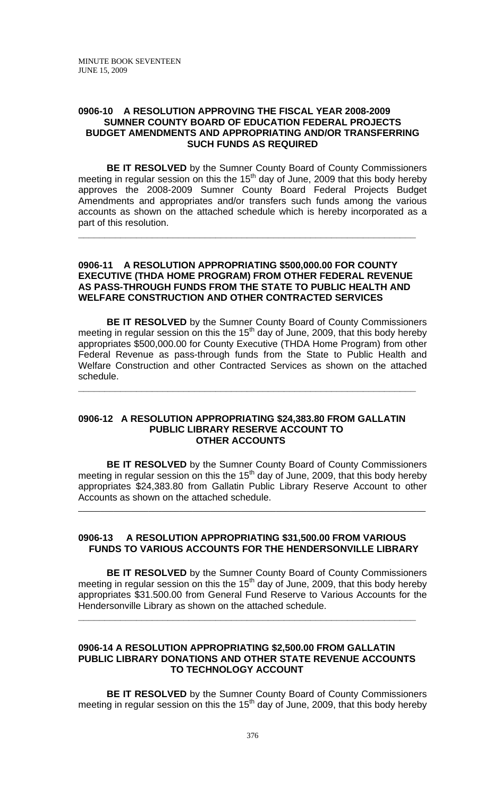### **0906-10 A RESOLUTION APPROVING THE FISCAL YEAR 2008-2009 SUMNER COUNTY BOARD OF EDUCATION FEDERAL PROJECTS BUDGET AMENDMENTS AND APPROPRIATING AND/OR TRANSFERRING SUCH FUNDS AS REQUIRED**

**BE IT RESOLVED** by the Sumner County Board of County Commissioners meeting in regular session on this the  $15<sup>th</sup>$  day of June, 2009 that this body hereby approves the 2008-2009 Sumner County Board Federal Projects Budget Amendments and appropriates and/or transfers such funds among the various accounts as shown on the attached schedule which is hereby incorporated as a part of this resolution.

### **0906-11 A RESOLUTION APPROPRIATING \$500,000.00 FOR COUNTY EXECUTIVE (THDA HOME PROGRAM) FROM OTHER FEDERAL REVENUE AS PASS-THROUGH FUNDS FROM THE STATE TO PUBLIC HEALTH AND WELFARE CONSTRUCTION AND OTHER CONTRACTED SERVICES**

**\_\_\_\_\_\_\_\_\_\_\_\_\_\_\_\_\_\_\_\_\_\_\_\_\_\_\_\_\_\_\_\_\_\_\_\_\_\_\_\_\_\_\_\_\_\_\_\_\_\_\_\_\_\_\_\_\_\_\_\_\_\_\_\_** 

**BE IT RESOLVED** by the Sumner County Board of County Commissioners meeting in regular session on this the  $15<sup>th</sup>$  day of June, 2009, that this body hereby appropriates \$500,000.00 for County Executive (THDA Home Program) from other Federal Revenue as pass-through funds from the State to Public Health and Welfare Construction and other Contracted Services as shown on the attached schedule.

**\_\_\_\_\_\_\_\_\_\_\_\_\_\_\_\_\_\_\_\_\_\_\_\_\_\_\_\_\_\_\_\_\_\_\_\_\_\_\_\_\_\_\_\_\_\_\_\_\_\_\_\_\_\_\_\_\_\_\_\_\_\_\_\_** 

#### **0906-12 A RESOLUTION APPROPRIATING \$24,383.80 FROM GALLATIN PUBLIC LIBRARY RESERVE ACCOUNT TO OTHER ACCOUNTS**

**BE IT RESOLVED** by the Sumner County Board of County Commissioners meeting in regular session on this the  $15<sup>th</sup>$  day of June, 2009, that this body hereby appropriates \$24,383.80 from Gallatin Public Library Reserve Account to other Accounts as shown on the attached schedule.

\_\_\_\_\_\_\_\_\_\_\_\_\_\_\_\_\_\_\_\_\_\_\_\_\_\_\_\_\_\_\_\_\_\_\_\_\_\_\_\_\_\_\_\_\_\_\_\_\_\_\_\_\_\_\_\_\_\_\_\_\_\_\_\_\_\_\_\_\_\_\_\_\_\_\_\_\_\_\_

### **0906-13 A RESOLUTION APPROPRIATING \$31,500.00 FROM VARIOUS FUNDS TO VARIOUS ACCOUNTS FOR THE HENDERSONVILLE LIBRARY**

 **BE IT RESOLVED** by the Sumner County Board of County Commissioners meeting in regular session on this the 15<sup>th</sup> day of June, 2009, that this body hereby appropriates \$31.500.00 from General Fund Reserve to Various Accounts for the Hendersonville Library as shown on the attached schedule.

### **0906-14 A RESOLUTION APPROPRIATING \$2,500.00 FROM GALLATIN PUBLIC LIBRARY DONATIONS AND OTHER STATE REVENUE ACCOUNTS TO TECHNOLOGY ACCOUNT**

**\_\_\_\_\_\_\_\_\_\_\_\_\_\_\_\_\_\_\_\_\_\_\_\_\_\_\_\_\_\_\_\_\_\_\_\_\_\_\_\_\_\_\_\_\_\_\_\_\_\_\_\_\_\_\_\_\_\_\_\_\_\_\_\_** 

**BE IT RESOLVED** by the Sumner County Board of County Commissioners meeting in regular session on this the  $15<sup>th</sup>$  day of June, 2009, that this body hereby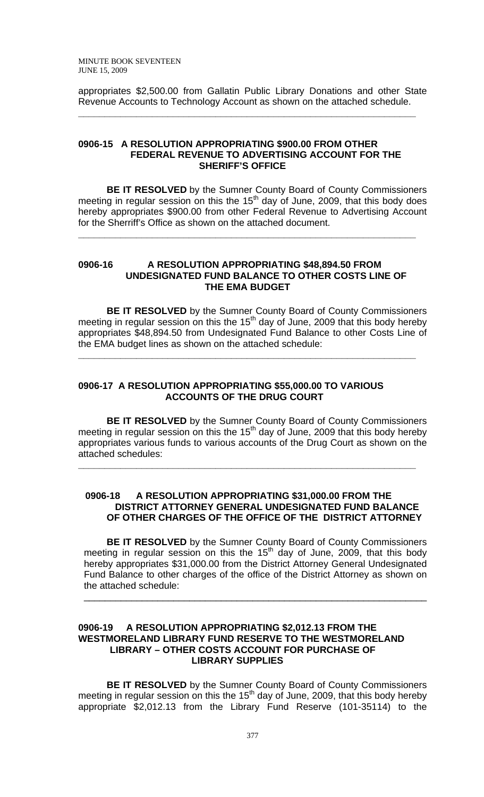appropriates \$2,500.00 from Gallatin Public Library Donations and other State Revenue Accounts to Technology Account as shown on the attached schedule.

**\_\_\_\_\_\_\_\_\_\_\_\_\_\_\_\_\_\_\_\_\_\_\_\_\_\_\_\_\_\_\_\_\_\_\_\_\_\_\_\_\_\_\_\_\_\_\_\_\_\_\_\_\_\_\_\_\_\_\_\_\_\_\_\_** 

#### **0906-15 A RESOLUTION APPROPRIATING \$900.00 FROM OTHER FEDERAL REVENUE TO ADVERTISING ACCOUNT FOR THE SHERIFF'S OFFICE**

 **BE IT RESOLVED** by the Sumner County Board of County Commissioners meeting in regular session on this the  $15<sup>th</sup>$  day of June, 2009, that this body does hereby appropriates \$900.00 from other Federal Revenue to Advertising Account for the Sherriff's Office as shown on the attached document.

**\_\_\_\_\_\_\_\_\_\_\_\_\_\_\_\_\_\_\_\_\_\_\_\_\_\_\_\_\_\_\_\_\_\_\_\_\_\_\_\_\_\_\_\_\_\_\_\_\_\_\_\_\_\_\_\_\_\_\_\_\_\_\_\_** 

#### **0906-16 A RESOLUTION APPROPRIATING \$48,894.50 FROM UNDESIGNATED FUND BALANCE TO OTHER COSTS LINE OF THE EMA BUDGET**

 **BE IT RESOLVED** by the Sumner County Board of County Commissioners meeting in regular session on this the  $15<sup>th</sup>$  day of June, 2009 that this body hereby appropriates \$48,894.50 from Undesignated Fund Balance to other Costs Line of the EMA budget lines as shown on the attached schedule:

**\_\_\_\_\_\_\_\_\_\_\_\_\_\_\_\_\_\_\_\_\_\_\_\_\_\_\_\_\_\_\_\_\_\_\_\_\_\_\_\_\_\_\_\_\_\_\_\_\_\_\_\_\_\_\_\_\_\_\_\_\_\_\_\_** 

# **0906-17 A RESOLUTION APPROPRIATING \$55,000.00 TO VARIOUS ACCOUNTS OF THE DRUG COURT**

 **BE IT RESOLVED** by the Sumner County Board of County Commissioners meeting in regular session on this the  $15<sup>th</sup>$  day of June, 2009 that this body hereby appropriates various funds to various accounts of the Drug Court as shown on the attached schedules:

**\_\_\_\_\_\_\_\_\_\_\_\_\_\_\_\_\_\_\_\_\_\_\_\_\_\_\_\_\_\_\_\_\_\_\_\_\_\_\_\_\_\_\_\_\_\_\_\_\_\_\_\_\_\_\_\_\_\_\_\_\_\_\_\_** 

### **0906-18 A RESOLUTION APPROPRIATING \$31,000.00 FROM THE DISTRICT ATTORNEY GENERAL UNDESIGNATED FUND BALANCE OF OTHER CHARGES OF THE OFFICE OF THE DISTRICT ATTORNEY**

**BE IT RESOLVED** by the Sumner County Board of County Commissioners meeting in regular session on this the  $15<sup>th</sup>$  day of June, 2009, that this body hereby appropriates \$31,000.00 from the District Attorney General Undesignated Fund Balance to other charges of the office of the District Attorney as shown on the attached schedule:

\_\_\_\_\_\_\_\_\_\_\_\_\_\_\_\_\_\_\_\_\_\_\_\_\_\_\_\_\_\_\_\_\_\_\_\_\_\_\_\_\_\_\_\_\_\_\_\_\_\_\_\_\_\_\_\_\_\_\_\_\_\_\_\_\_

## **0906-19 A RESOLUTION APPROPRIATING \$2,012.13 FROM THE WESTMORELAND LIBRARY FUND RESERVE TO THE WESTMORELAND LIBRARY – OTHER COSTS ACCOUNT FOR PURCHASE OF LIBRARY SUPPLIES**

**BE IT RESOLVED** by the Sumner County Board of County Commissioners meeting in regular session on this the 15<sup>th</sup> day of June, 2009, that this body hereby appropriate \$2,012.13 from the Library Fund Reserve (101-35114) to the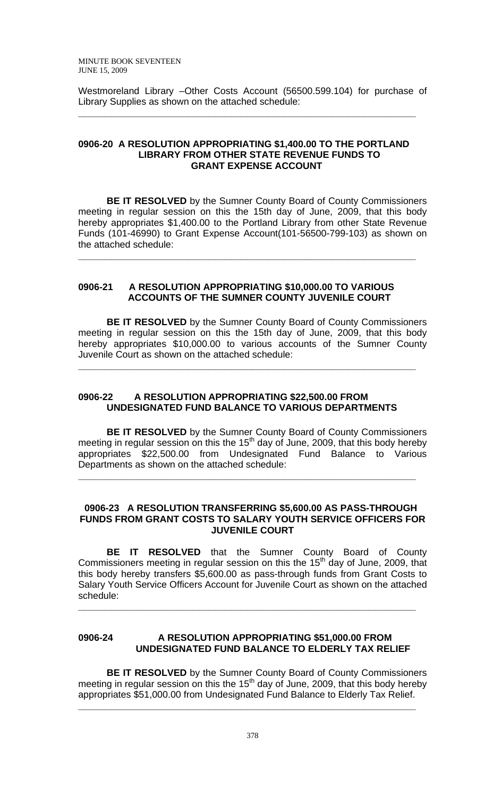Westmoreland Library –Other Costs Account (56500.599.104) for purchase of Library Supplies as shown on the attached schedule:

**\_\_\_\_\_\_\_\_\_\_\_\_\_\_\_\_\_\_\_\_\_\_\_\_\_\_\_\_\_\_\_\_\_\_\_\_\_\_\_\_\_\_\_\_\_\_\_\_\_\_\_\_\_\_\_\_\_\_\_\_\_\_\_\_** 

### **0906-20 A RESOLUTION APPROPRIATING \$1,400.00 TO THE PORTLAND LIBRARY FROM OTHER STATE REVENUE FUNDS TO GRANT EXPENSE ACCOUNT**

**BE IT RESOLVED** by the Sumner County Board of County Commissioners meeting in regular session on this the 15th day of June, 2009, that this body hereby appropriates \$1,400.00 to the Portland Library from other State Revenue Funds (101-46990) to Grant Expense Account(101-56500-799-103) as shown on the attached schedule:

**\_\_\_\_\_\_\_\_\_\_\_\_\_\_\_\_\_\_\_\_\_\_\_\_\_\_\_\_\_\_\_\_\_\_\_\_\_\_\_\_\_\_\_\_\_\_\_\_\_\_\_\_\_\_\_\_\_\_\_\_\_\_\_\_** 

### **0906-21 A RESOLUTION APPROPRIATING \$10,000.00 TO VARIOUS ACCOUNTS OF THE SUMNER COUNTY JUVENILE COURT**

**BE IT RESOLVED** by the Sumner County Board of County Commissioners meeting in regular session on this the 15th day of June, 2009, that this body hereby appropriates \$10,000.00 to various accounts of the Sumner County Juvenile Court as shown on the attached schedule:

**\_\_\_\_\_\_\_\_\_\_\_\_\_\_\_\_\_\_\_\_\_\_\_\_\_\_\_\_\_\_\_\_\_\_\_\_\_\_\_\_\_\_\_\_\_\_\_\_\_\_\_\_\_\_\_\_\_\_\_\_\_\_\_\_** 

### **0906-22 A RESOLUTION APPROPRIATING \$22,500.00 FROM UNDESIGNATED FUND BALANCE TO VARIOUS DEPARTMENTS**

 **BE IT RESOLVED** by the Sumner County Board of County Commissioners meeting in regular session on this the 15<sup>th</sup> day of June, 2009, that this body hereby appropriates \$22,500.00 from Undesignated Fund Balance to Various Departments as shown on the attached schedule:

**\_\_\_\_\_\_\_\_\_\_\_\_\_\_\_\_\_\_\_\_\_\_\_\_\_\_\_\_\_\_\_\_\_\_\_\_\_\_\_\_\_\_\_\_\_\_\_\_\_\_\_\_\_\_\_\_\_\_\_\_\_\_\_\_** 

### **0906-23 A RESOLUTION TRANSFERRING \$5,600.00 AS PASS-THROUGH FUNDS FROM GRANT COSTS TO SALARY YOUTH SERVICE OFFICERS FOR JUVENILE COURT**

**BE IT RESOLVED** that the Sumner County Board of County Commissioners meeting in regular session on this the 15<sup>th</sup> day of June, 2009, that this body hereby transfers \$5,600.00 as pass-through funds from Grant Costs to Salary Youth Service Officers Account for Juvenile Court as shown on the attached schedule:

# **0906-24 A RESOLUTION APPROPRIATING \$51,000.00 FROM UNDESIGNATED FUND BALANCE TO ELDERLY TAX RELIEF**

**\_\_\_\_\_\_\_\_\_\_\_\_\_\_\_\_\_\_\_\_\_\_\_\_\_\_\_\_\_\_\_\_\_\_\_\_\_\_\_\_\_\_\_\_\_\_\_\_\_\_\_\_\_\_\_\_\_\_\_\_\_\_\_\_** 

 **BE IT RESOLVED** by the Sumner County Board of County Commissioners meeting in regular session on this the 15<sup>th</sup> day of June, 2009, that this body hereby appropriates \$51,000.00 from Undesignated Fund Balance to Elderly Tax Relief.

**\_\_\_\_\_\_\_\_\_\_\_\_\_\_\_\_\_\_\_\_\_\_\_\_\_\_\_\_\_\_\_\_\_\_\_\_\_\_\_\_\_\_\_\_\_\_\_\_\_\_\_\_\_\_\_\_\_\_\_\_\_\_\_\_**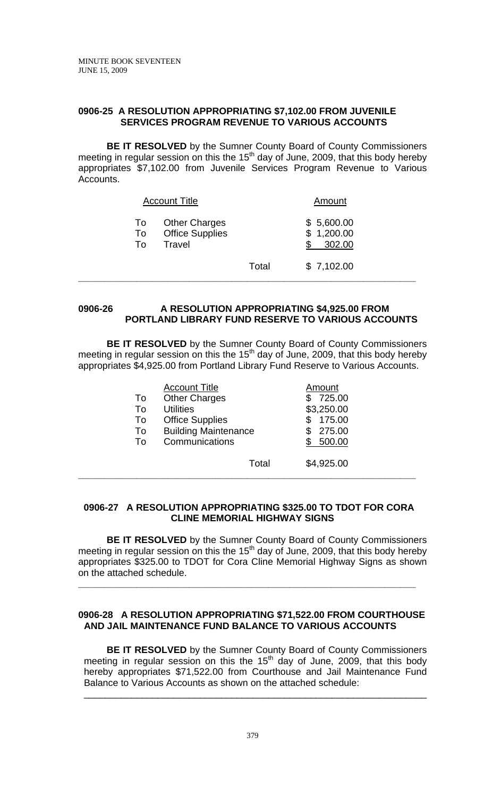# **0906-25 A RESOLUTION APPROPRIATING \$7,102.00 FROM JUVENILE SERVICES PROGRAM REVENUE TO VARIOUS ACCOUNTS**

**BE IT RESOLVED** by the Sumner County Board of County Commissioners meeting in regular session on this the 15<sup>th</sup> day of June, 2009, that this body hereby appropriates \$7,102.00 from Juvenile Services Program Revenue to Various Accounts.

| <b>Account Title</b>                                                       | Amount                             |            |  |
|----------------------------------------------------------------------------|------------------------------------|------------|--|
| <b>Other Charges</b><br>To<br><b>Office Supplies</b><br>To<br>Travel<br>To | \$5,600.00<br>\$1,200.00<br>302.00 |            |  |
|                                                                            | Total                              | \$7,102.00 |  |

## **0906-26 A RESOLUTION APPROPRIATING \$4,925.00 FROM PORTLAND LIBRARY FUND RESERVE TO VARIOUS ACCOUNTS**

 **BE IT RESOLVED** by the Sumner County Board of County Commissioners meeting in regular session on this the 15<sup>th</sup> day of June, 2009, that this body hereby appropriates \$4,925.00 from Portland Library Fund Reserve to Various Accounts.

|    | <b>Account Title</b>        | Amount     |
|----|-----------------------------|------------|
| To | <b>Other Charges</b>        | 725.00     |
| To | <b>Utilities</b>            | \$3,250.00 |
| To | <b>Office Supplies</b>      | 175.00     |
| To | <b>Building Maintenance</b> | 275.00     |
| Т٥ | Communications              | 500.00     |
|    | Total                       | \$4,925.00 |

## **0906-27 A RESOLUTION APPROPRIATING \$325.00 TO TDOT FOR CORA CLINE MEMORIAL HIGHWAY SIGNS**

**\_\_\_\_\_\_\_\_\_\_\_\_\_\_\_\_\_\_\_\_\_\_\_\_\_\_\_\_\_\_\_\_\_\_\_\_\_\_\_\_\_\_\_\_\_\_\_\_\_\_\_\_\_\_\_\_\_\_\_\_\_\_\_\_** 

**BE IT RESOLVED** by the Sumner County Board of County Commissioners meeting in regular session on this the 15<sup>th</sup> day of June, 2009, that this body hereby appropriates \$325.00 to TDOT for Cora Cline Memorial Highway Signs as shown on the attached schedule.

**\_\_\_\_\_\_\_\_\_\_\_\_\_\_\_\_\_\_\_\_\_\_\_\_\_\_\_\_\_\_\_\_\_\_\_\_\_\_\_\_\_\_\_\_\_\_\_\_\_\_\_\_\_\_\_\_\_\_\_\_\_\_\_\_** 

## **0906-28 A RESOLUTION APPROPRIATING \$71,522.00 FROM COURTHOUSE AND JAIL MAINTENANCE FUND BALANCE TO VARIOUS ACCOUNTS**

 **BE IT RESOLVED** by the Sumner County Board of County Commissioners meeting in regular session on this the  $15<sup>th</sup>$  day of June, 2009, that this body hereby appropriates \$71,522.00 from Courthouse and Jail Maintenance Fund Balance to Various Accounts as shown on the attached schedule:

\_\_\_\_\_\_\_\_\_\_\_\_\_\_\_\_\_\_\_\_\_\_\_\_\_\_\_\_\_\_\_\_\_\_\_\_\_\_\_\_\_\_\_\_\_\_\_\_\_\_\_\_\_\_\_\_\_\_\_\_\_\_\_\_\_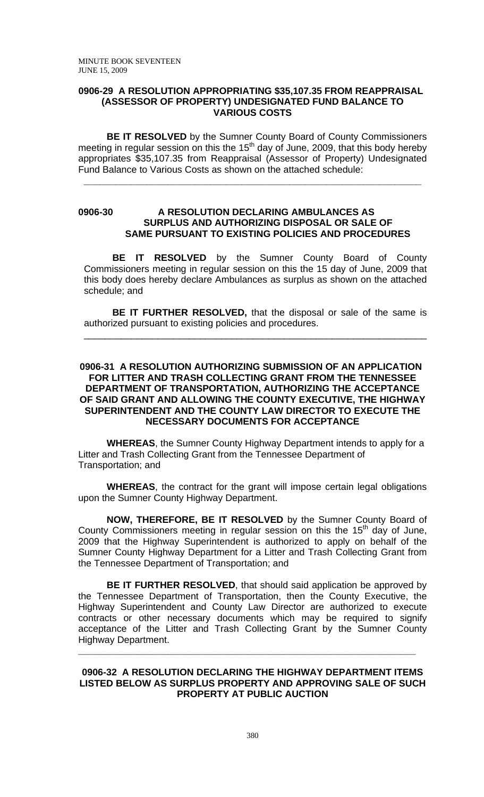### **0906-29 A RESOLUTION APPROPRIATING \$35,107.35 FROM REAPPRAISAL (ASSESSOR OF PROPERTY) UNDESIGNATED FUND BALANCE TO VARIOUS COSTS**

**BE IT RESOLVED** by the Sumner County Board of County Commissioners meeting in regular session on this the 15<sup>th</sup> day of June, 2009, that this body hereby appropriates \$35,107.35 from Reappraisal (Assessor of Property) Undesignated Fund Balance to Various Costs as shown on the attached schedule:

**\_\_\_\_\_\_\_\_\_\_\_\_\_\_\_\_\_\_\_\_\_\_\_\_\_\_\_\_\_\_\_\_\_\_\_\_\_\_\_\_\_\_\_\_\_\_\_\_\_\_\_\_\_\_\_\_\_\_\_\_\_\_\_\_** 

## **0906-30 A RESOLUTION DECLARING AMBULANCES AS SURPLUS AND AUTHORIZING DISPOSAL OR SALE OF SAME PURSUANT TO EXISTING POLICIES AND PROCEDURES**

**BE IT RESOLVED** by the Sumner County Board of County Commissioners meeting in regular session on this the 15 day of June, 2009 that this body does hereby declare Ambulances as surplus as shown on the attached schedule; and

**BE IT FURTHER RESOLVED,** that the disposal or sale of the same is authorized pursuant to existing policies and procedures.

\_\_\_\_\_\_\_\_\_\_\_\_\_\_\_\_\_\_\_\_\_\_\_\_\_\_\_\_\_\_\_\_\_\_\_\_\_\_\_\_\_\_\_\_\_\_\_\_\_\_\_\_\_\_\_\_\_\_\_\_\_\_\_\_\_

### **0906-31 A RESOLUTION AUTHORIZING SUBMISSION OF AN APPLICATION FOR LITTER AND TRASH COLLECTING GRANT FROM THE TENNESSEE DEPARTMENT OF TRANSPORTATION, AUTHORIZING THE ACCEPTANCE OF SAID GRANT AND ALLOWING THE COUNTY EXECUTIVE, THE HIGHWAY SUPERINTENDENT AND THE COUNTY LAW DIRECTOR TO EXECUTE THE NECESSARY DOCUMENTS FOR ACCEPTANCE**

**WHEREAS**, the Sumner County Highway Department intends to apply for a Litter and Trash Collecting Grant from the Tennessee Department of Transportation; and

**WHEREAS**, the contract for the grant will impose certain legal obligations upon the Sumner County Highway Department.

**NOW, THEREFORE, BE IT RESOLVED** by the Sumner County Board of County Commissioners meeting in regular session on this the  $15<sup>th</sup>$  day of June, 2009 that the Highway Superintendent is authorized to apply on behalf of the Sumner County Highway Department for a Litter and Trash Collecting Grant from the Tennessee Department of Transportation; and

**BE IT FURTHER RESOLVED**, that should said application be approved by the Tennessee Department of Transportation, then the County Executive, the Highway Superintendent and County Law Director are authorized to execute contracts or other necessary documents which may be required to signify acceptance of the Litter and Trash Collecting Grant by the Sumner County Highway Department.

#### **0906-32 A RESOLUTION DECLARING THE HIGHWAY DEPARTMENT ITEMS LISTED BELOW AS SURPLUS PROPERTY AND APPROVING SALE OF SUCH PROPERTY AT PUBLIC AUCTION**

**\_\_\_\_\_\_\_\_\_\_\_\_\_\_\_\_\_\_\_\_\_\_\_\_\_\_\_\_\_\_\_\_\_\_\_\_\_\_\_\_\_\_\_\_\_\_\_\_\_\_\_\_\_\_\_\_\_\_\_\_\_\_\_\_**